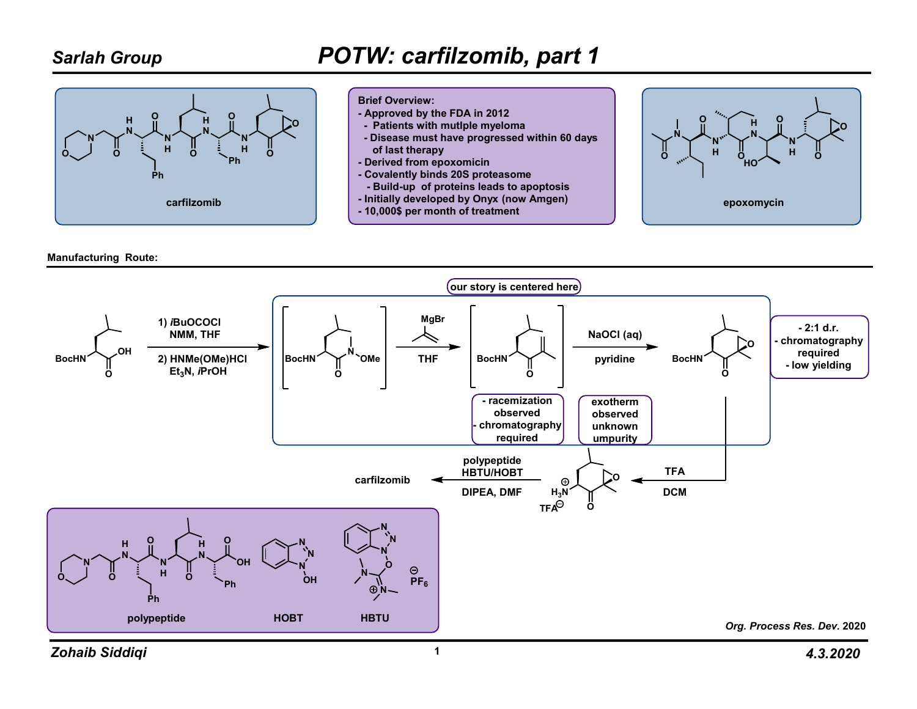### Sarlah Group

## POTW: carfilzomib, part 1





- Approved by the FDA in 2012
- Patients with mutlple myeloma
- Disease must have progressed within 60 days of last therapy
- Derived from epoxomicin
- Covalently binds 20S proteasome
- Build-up of proteins leads to apoptosis
- Initially developed by Onyx (now Amgen)
- 10,000\$ per month of treatment



Manufacturing Route:

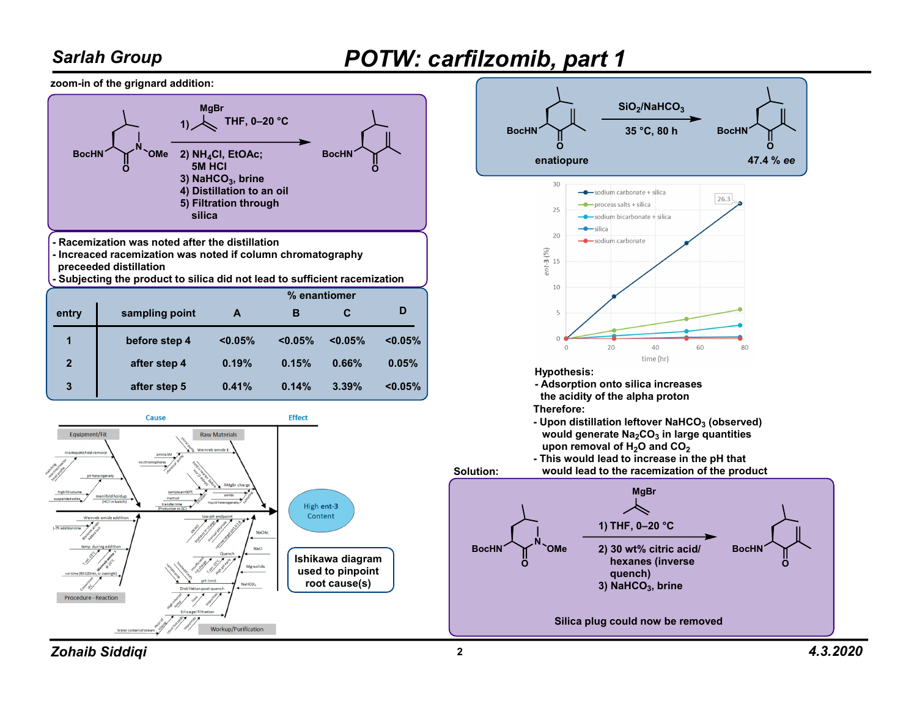### Sarlah Group

# POTW: carfilzomib, part 1

zoom-in of the grignard addition:



Workup/Purification



Zohaib Siddiqi <sup>2</sup> 4.3.2020